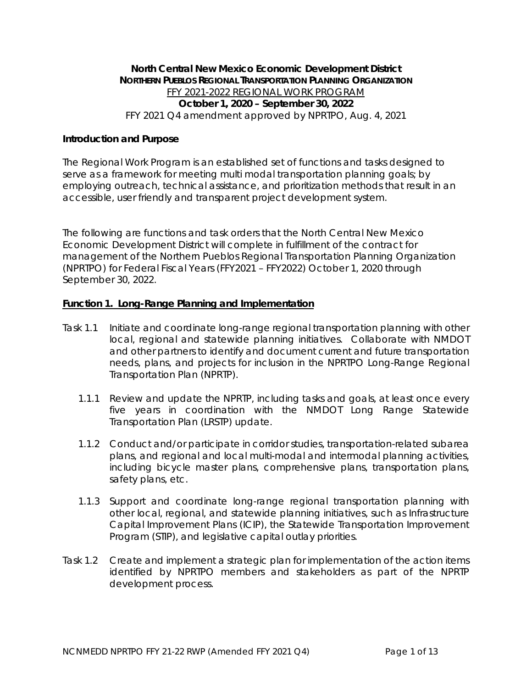# **North Central New Mexico Economic Development District NORTHERN PUEBLOS REGIONAL TRANSPORTATION PLANNING ORGANIZATION** FFY 2021-2022 REGIONAL WORK PROGRAM **October 1, 2020 – September 30, 2022** FFY 2021 Q4 amendment approved by NPRTPO, Aug. 4, 2021

## **Introduction and Purpose**

The Regional Work Program is an established set of functions and tasks designed to serve as a framework for meeting multi modal transportation planning goals; by employing outreach, technical assistance, and prioritization methods that result in an accessible, user friendly and transparent project development system.

The following are functions and task orders that the North Central New Mexico Economic Development District will complete in fulfillment of the contract for management of the Northern Pueblos Regional Transportation Planning Organization (NPRTPO) for Federal Fiscal Years (FFY2021 – FFY2022) October 1, 2020 through September 30, 2022.

#### **Function 1. Long-Range Planning and Implementation**

- Task 1.1 Initiate and coordinate long-range regional transportation planning with other local, regional and statewide planning initiatives. Collaborate with NMDOT and other partners to identify and document current and future transportation needs, plans, and projects for inclusion in the NPRTPO Long-Range Regional Transportation Plan (NPRTP).
	- 1.1.1 Review and update the NPRTP, including tasks and goals, at least once every five years in coordination with the NMDOT Long Range Statewide Transportation Plan (LRSTP) update.
	- 1.1.2 Conduct and/or participate in corridor studies, transportation-related subarea plans, and regional and local multi-modal and intermodal planning activities, including bicycle master plans, comprehensive plans, transportation plans, safety plans, etc.
	- 1.1.3 Support and coordinate long-range regional transportation planning with other local, regional, and statewide planning initiatives, such as Infrastructure Capital Improvement Plans (ICIP), the Statewide Transportation Improvement Program (STIP), and legislative capital outlay priorities.
- Task 1.2 Create and implement a strategic plan for implementation of the action items identified by NPRTPO members and stakeholders as part of the NPRTP development process.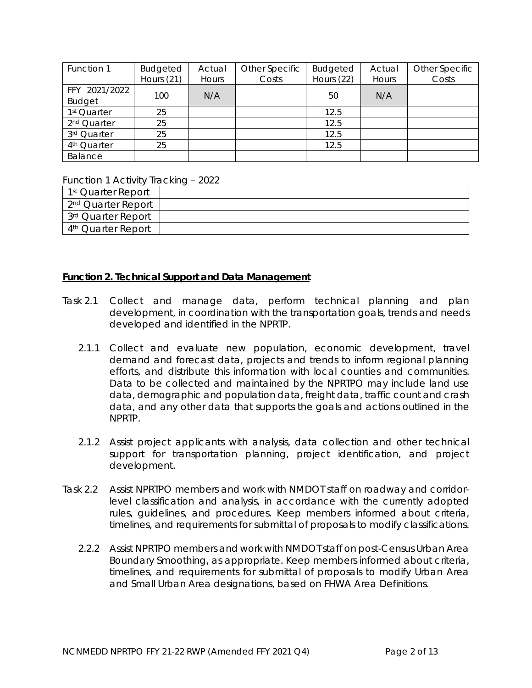| Function 1                     | <b>Budgeted</b><br>Hours $(21)$ | Actual<br>Hours | Other Specific<br>Costs | <b>Budgeted</b><br>Hours (22) | Actual<br>Hours | Other Specific<br>Costs |
|--------------------------------|---------------------------------|-----------------|-------------------------|-------------------------------|-----------------|-------------------------|
|                                |                                 |                 |                         |                               |                 |                         |
| FFY 2021/2022<br><b>Budget</b> | 100                             | N/A             |                         | 50                            | N/A             |                         |
| 1 <sup>st</sup> Quarter        | 25                              |                 |                         | 12.5                          |                 |                         |
| 2 <sup>nd</sup> Quarter        | 25                              |                 |                         | 12.5                          |                 |                         |
| 3rd Quarter                    | 25                              |                 |                         | 12.5                          |                 |                         |
| 4 <sup>th</sup> Quarter        | 25                              |                 |                         | 12.5                          |                 |                         |
| Balance                        |                                 |                 |                         |                               |                 |                         |

Function 1 Activity Tracking – 2022

| 1 <sup>st</sup> Quarter Report |  |
|--------------------------------|--|
| 2 <sup>nd</sup> Quarter Report |  |
| 3 <sup>rd</sup> Quarter Report |  |
| 4 <sup>th</sup> Quarter Report |  |

#### **Function 2. Technical Support and Data Management**

- Task 2.1 Collect and manage data, perform technical planning and plan development, in coordination with the transportation goals, trends and needs developed and identified in the NPRTP.
	- 2.1.1 Collect and evaluate new population, economic development, travel demand and forecast data, projects and trends to inform regional planning efforts, and distribute this information with local counties and communities. Data to be collected and maintained by the NPRTPO may include land use data, demographic and population data, freight data, traffic count and crash data, and any other data that supports the goals and actions outlined in the NPRTP.
	- 2.1.2 Assist project applicants with analysis, data collection and other technical support for transportation planning, project identification, and project development.
- Task 2.2 Assist NPRTPO members and work with NMDOT staff on roadway and corridorlevel classification and analysis, in accordance with the currently adopted rules, guidelines, and procedures. Keep members informed about criteria, timelines, and requirements for submittal of proposals to modify classifications.
	- 2.2.2 Assist NPRTPO members and work with NMDOT staff on post-Census Urban Area Boundary Smoothing, as appropriate. Keep members informed about criteria, timelines, and requirements for submittal of proposals to modify Urban Area and Small Urban Area designations, based on FHWA Area Definitions.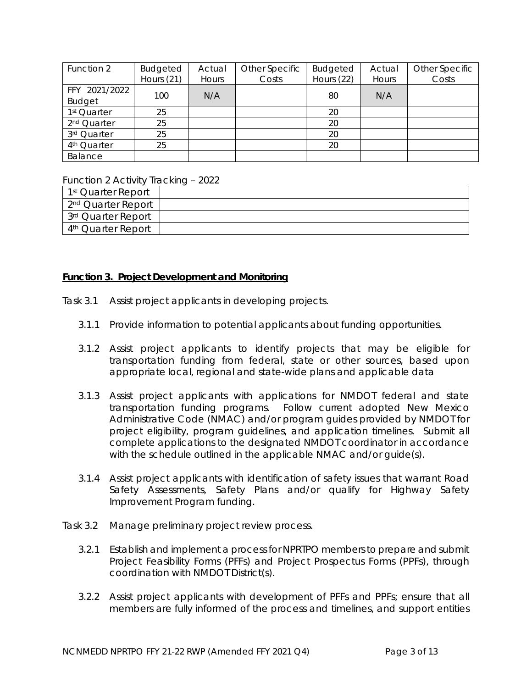| Function 2                     | Budgeted     | Actual | Other Specific | <b>Budgeted</b> | Actual | Other Specific |
|--------------------------------|--------------|--------|----------------|-----------------|--------|----------------|
|                                | Hours $(21)$ | Hours  | Costs          | Hours (22)      | Hours  | Costs          |
| FFY 2021/2022<br><b>Budget</b> | 100          | N/A    |                | 80              | N/A    |                |
| 1 <sup>st</sup> Quarter        | 25           |        |                | 20              |        |                |
| 2 <sup>nd</sup> Quarter        | 25           |        |                | 20              |        |                |
| 3rd Quarter                    | 25           |        |                | 20              |        |                |
| 4 <sup>th</sup> Quarter        | 25           |        |                | 20              |        |                |
| Balance                        |              |        |                |                 |        |                |

Function 2 Activity Tracking – 2022

| 1 <sup>st</sup> Quarter Report |  |
|--------------------------------|--|
| 2 <sup>nd</sup> Quarter Report |  |
| 3 <sup>rd</sup> Quarter Report |  |
| 4 <sup>th</sup> Quarter Report |  |

#### **Function 3. Project Development and Monitoring**

- Task 3.1 Assist project applicants in developing projects.
	- 3.1.1 Provide information to potential applicants about funding opportunities.
	- 3.1.2 Assist project applicants to identify projects that may be eligible for transportation funding from federal, state or other sources, based upon appropriate local, regional and state-wide plans and applicable data
	- 3.1.3 Assist project applicants with applications for NMDOT federal and state transportation funding programs. Follow current adopted New Mexico Administrative Code (NMAC) and/or program guides provided by NMDOT for project eligibility, program guidelines, and application timelines. Submit all complete applications to the designated NMDOT coordinator in accordance with the schedule outlined in the applicable NMAC and/or guide(s).
	- 3.1.4 Assist project applicants with identification of safety issues that warrant Road Safety Assessments, Safety Plans and/or qualify for Highway Safety Improvement Program funding.
- Task 3.2 Manage preliminary project review process.
	- 3.2.1 Establish and implement a process for NPRTPO members to prepare and submit Project Feasibility Forms (PFFs) and Project Prospectus Forms (PPFs), through coordination with NMDOT District(s).
	- 3.2.2 Assist project applicants with development of PFFs and PPFs; ensure that all members are fully informed of the process and timelines, and support entities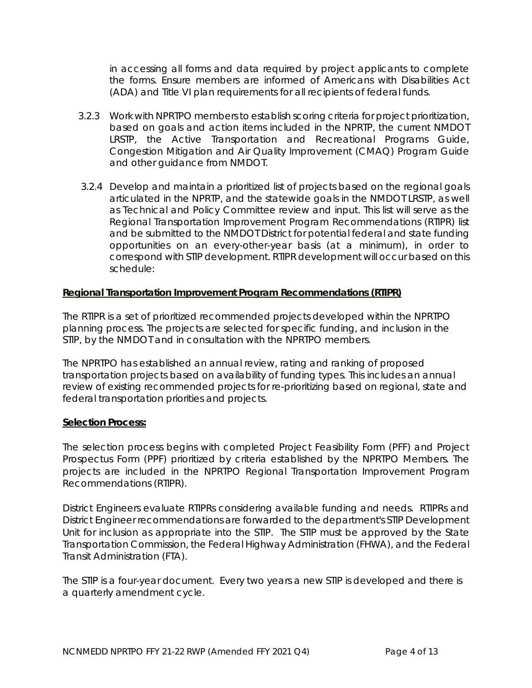in accessing all forms and data required by project applicants to complete the forms. Ensure members are informed of Americans with Disabilities Act (ADA) and Title VI plan requirements for all recipients of federal funds.

- 3.2.3 Work with NPRTPO members to establish scoring criteria for project prioritization, based on goals and action items included in the NPRTP, the current NMDOT LRSTP, the Active Transportation and Recreational Programs Guide, Congestion Mitigation and Air Quality Improvement (CMAQ) Program Guide and other guidance from NMDOT.
- 3.2.4 Develop and maintain a prioritized list of projects based on the regional goals articulated in the NPRTP, and the statewide goals in the NMDOT LRSTP, as well as Technical and Policy Committee review and input. This list will serve as the Regional Transportation Improvement Program Recommendations (RTIPR) list and be submitted to the NMDOT District for potential federal and state funding opportunities on an every-other-year basis (at a minimum), in order to correspond with STIP development. RTIPR development will occur based on this schedule:

# **Regional Transportation Improvement Program Recommendations (RTIPR)**

The RTIPR is a set of prioritized recommended projects developed within the NPRTPO planning process. The projects are selected for specific funding, and inclusion in the STIP, by the NMDOT and in consultation with the NPRTPO members.

The NPRTPO has established an annual review, rating and ranking of proposed transportation projects based on availability of funding types. This includes an annual review of existing recommended projects for re-prioritizing based on regional, state and federal transportation priorities and projects.

#### **Selection Process:**

The selection process begins with completed Project Feasibility Form (PFF) and Project Prospectus Form (PPF) prioritized by criteria established by the NPRTPO Members. The projects are included in the NPRTPO Regional Transportation Improvement Program Recommendations (RTIPR).

District Engineers evaluate RTIPRs considering available funding and needs. RTIPRs and District Engineer recommendations are forwarded to the department's STIP Development Unit for inclusion as appropriate into the STIP. The STIP must be approved by the State Transportation Commission, the Federal Highway Administration (FHWA), and the Federal Transit Administration (FTA).

The STIP is a four-year document. Every two years a new STIP is developed and there is a quarterly amendment cycle.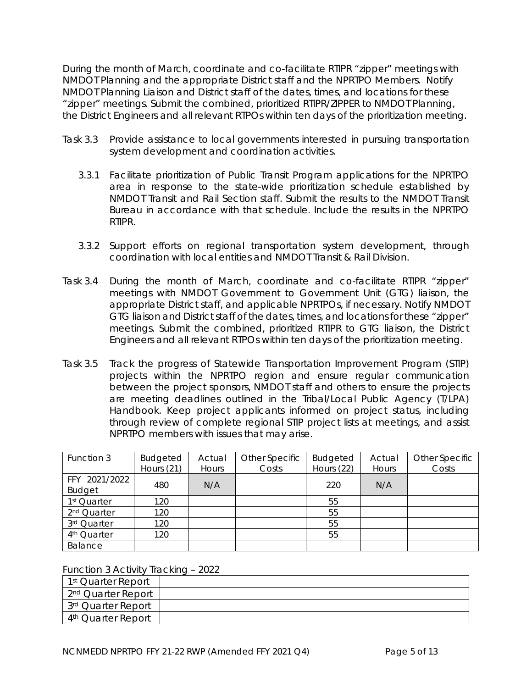During the month of March, coordinate and co-facilitate RTIPR "zipper" meetings with NMDOT Planning and the appropriate District staff and the NPRTPO Members. Notify NMDOT Planning Liaison and District staff of the dates, times, and locations for these "zipper" meetings. Submit the combined, prioritized RTIPR/ZIPPER to NMDOT Planning, the District Engineers and all relevant RTPOs within ten days of the prioritization meeting.

- Task 3.3 Provide assistance to local governments interested in pursuing transportation system development and coordination activities.
	- 3.3.1 Facilitate prioritization of Public Transit Program applications for the NPRTPO area in response to the state-wide prioritization schedule established by NMDOT Transit and Rail Section staff. Submit the results to the NMDOT Transit Bureau in accordance with that schedule. Include the results in the NPRTPO RTIPR.
	- 3.3.2 Support efforts on regional transportation system development, through coordination with local entities and NMDOT Transit & Rail Division.
- Task 3.4 During the month of March, coordinate and co-facilitate RTIPR "zipper" meetings with NMDOT Government to Government Unit (GTG) liaison, the appropriate District staff, and applicable NPRTPOs, if necessary. Notify NMDOT GTG liaison and District staff of the dates, times, and locations for these "zipper" meetings. Submit the combined, prioritized RTIPR to GTG liaison, the District Engineers and all relevant RTPOs within ten days of the prioritization meeting.
- Task 3.5 Track the progress of Statewide Transportation Improvement Program (STIP) projects within the NPRTPO region and ensure regular communication between the project sponsors, NMDOT staff and others to ensure the projects are meeting deadlines outlined in the Tribal/Local Public Agency (T/LPA) Handbook. Keep project applicants informed on project status, including through review of complete regional STIP project lists at meetings, and assist NPRTPO members with issues that may arise.

| Function 3              | <b>Budgeted</b> | Actual | Other Specific | <b>Budgeted</b> | Actual | Other Specific |
|-------------------------|-----------------|--------|----------------|-----------------|--------|----------------|
|                         | Hours (21)      | Hours  | Costs          | Hours (22)      | Hours  | Costs          |
| FFY 2021/2022           |                 | N/A    |                | 220             |        |                |
| <b>Budget</b>           | 480             |        |                |                 | N/A    |                |
| 1 <sup>st</sup> Quarter | 120             |        |                | 55              |        |                |
| 2 <sup>nd</sup> Quarter | 120             |        |                | 55              |        |                |
| 3rd Quarter             | 120             |        |                | 55              |        |                |
| 4 <sup>th</sup> Quarter | 120             |        |                | 55              |        |                |
| Balance                 |                 |        |                |                 |        |                |

Function 3 Activity Tracking – 2022

| 1 <sup>st</sup> Quarter Report |  |
|--------------------------------|--|
| 2 <sup>nd</sup> Quarter Report |  |
| 3 <sup>rd</sup> Quarter Report |  |
| 4 <sup>th</sup> Quarter Report |  |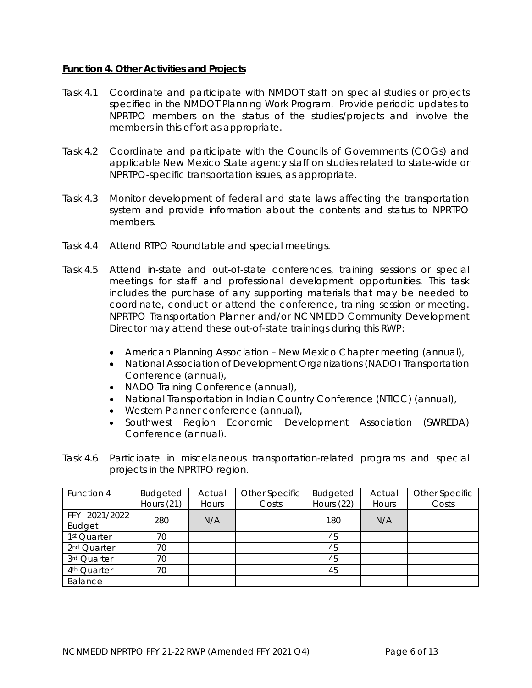# **Function 4. Other Activities and Projects**

- Task 4.1 Coordinate and participate with NMDOT staff on special studies or projects specified in the NMDOT Planning Work Program. Provide periodic updates to NPRTPO members on the status of the studies/projects and involve the members in this effort as appropriate.
- Task 4.2 Coordinate and participate with the Councils of Governments (COGs) and applicable New Mexico State agency staff on studies related to state-wide or NPRTPO-specific transportation issues, as appropriate.
- Task 4.3 Monitor development of federal and state laws affecting the transportation system and provide information about the contents and status to NPRTPO members.
- Task 4.4 Attend RTPO Roundtable and special meetings.
- Task 4.5 Attend in-state and out-of-state conferences, training sessions or special meetings for staff and professional development opportunities. This task includes the purchase of any supporting materials that may be needed to coordinate, conduct or attend the conference, training session or meeting. NPRTPO Transportation Planner and/or NCNMEDD Community Development Director may attend these out-of-state trainings during this RWP:
	- American Planning Association New Mexico Chapter meeting (annual),
	- National Association of Development Organizations (NADO) Transportation Conference (annual),
	- NADO Training Conference (annual),
	- National Transportation in Indian Country Conference (NTICC) (annual),
	- Western Planner conference (annual),
	- Southwest Region Economic Development Association (SWREDA) Conference (annual).
- Task 4.6 Participate in miscellaneous transportation-related programs and special projects in the NPRTPO region.

| Function 4              | Budgeted     | Actual | Other Specific | Budgeted   | Actual | Other Specific |
|-------------------------|--------------|--------|----------------|------------|--------|----------------|
|                         | Hours $(21)$ | Hours  | Costs          | Hours (22) | Hours  | Costs          |
| FFY 2021/2022           |              |        |                |            |        |                |
| <b>Budget</b>           | 280          | N/A    |                | 180        | N/A    |                |
| 1 <sup>st</sup> Quarter | 70           |        |                | 45         |        |                |
| 2 <sup>nd</sup> Quarter | 70           |        |                | 45         |        |                |
| 3rd Quarter             | 70           |        |                | 45         |        |                |
| 4 <sup>th</sup> Quarter | 70           |        |                | 45         |        |                |
| Balance                 |              |        |                |            |        |                |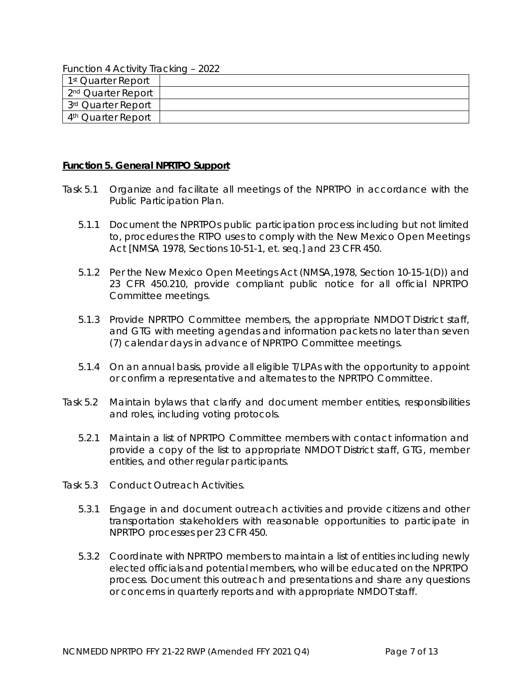Function 4 Activity Tracking – 2022

| 1 <sup>st</sup> Quarter Report |  |
|--------------------------------|--|
| 2 <sup>nd</sup> Quarter Report |  |
| 3 <sup>rd</sup> Quarter Report |  |
| 4 <sup>th</sup> Quarter Report |  |

#### **Function 5. General NPRTPO Support**

- Task 5.1 Organize and facilitate all meetings of the NPRTPO in accordance with the Public Participation Plan.
	- 5.1.1 Document the NPRTPOs public participation process including but not limited to, procedures the RTPO uses to comply with the *New Mexico Open Meetings Act* [NMSA 1978, Sections 10-51-1, *et. seq.*] and 23 CFR 450.
	- 5.1.2 Per the *New Mexico Open Meetings Act* (NMSA,1978, Section 10-15-1(D)) and 23 CFR 450.210, provide compliant public notice for all official NPRTPO Committee meetings.
	- 5.1.3 Provide NPRTPO Committee members, the appropriate NMDOT District staff, and GTG with meeting agendas and information packets no later than seven (7) calendar days in advance of NPRTPO Committee meetings.
	- 5.1.4 On an annual basis, provide all eligible T/LPAs with the opportunity to appoint or confirm a representative and alternates to the NPRTPO Committee.
- Task 5.2 Maintain bylaws that clarify and document member entities, responsibilities and roles, including voting protocols.
	- 5.2.1 Maintain a list of NPRTPO Committee members with contact information and provide a copy of the list to appropriate NMDOT District staff, GTG, member entities, and other regular participants.
- Task 5.3 Conduct Outreach Activities.
	- 5.3.1 Engage in and document outreach activities and provide citizens and other transportation stakeholders with reasonable opportunities to participate in NPRTPO processes per 23 CFR 450.
	- 5.3.2 Coordinate with NPRTPO members to maintain a list of entities including newly elected officials and potential members, who will be educated on the NPRTPO process. Document this outreach and presentations and share any questions or concerns in quarterly reports and with appropriate NMDOT staff.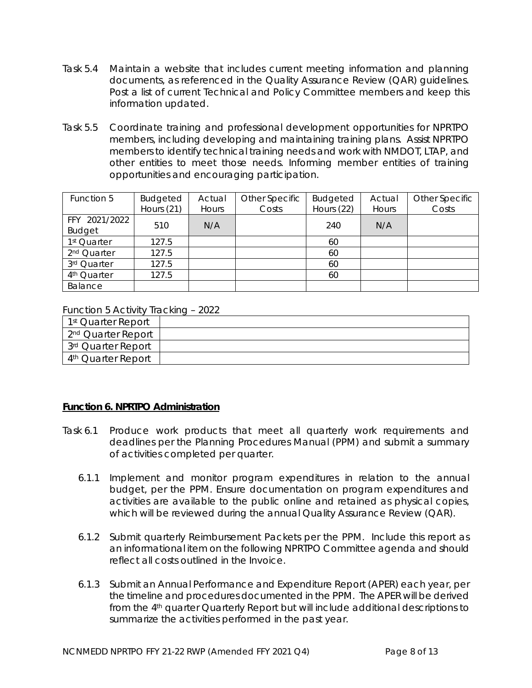- Task 5.4 Maintain a website that includes current meeting information and planning documents, as referenced in the Quality Assurance Review (QAR) guidelines. Post a list of current Technical and Policy Committee members and keep this information updated.
- Task 5.5 Coordinate training and professional development opportunities for NPRTPO members, including developing and maintaining training plans. Assist NPRTPO members to identify technical training needs and work with NMDOT, LTAP, and other entities to meet those needs. Informing member entities of training opportunities and encouraging participation.

| Function 5                     | <b>Budgeted</b><br>Hours (21) | Actual<br>Hours | Other Specific<br>Costs | <b>Budgeted</b><br>Hours (22) | Actual<br>Hours | Other Specific<br>Costs |
|--------------------------------|-------------------------------|-----------------|-------------------------|-------------------------------|-----------------|-------------------------|
| FFY 2021/2022<br><b>Budget</b> | 510                           | N/A             |                         | 240                           | N/A             |                         |
| 1 <sup>st</sup> Quarter        | 127.5                         |                 |                         | 60                            |                 |                         |
| 2 <sup>nd</sup> Quarter        | 127.5                         |                 |                         | 60                            |                 |                         |
| 3rd Quarter                    | 127.5                         |                 |                         | 60                            |                 |                         |
| 4 <sup>th</sup> Quarter        | 127.5                         |                 |                         | 60                            |                 |                         |
| Balance                        |                               |                 |                         |                               |                 |                         |

Function 5 Activity Tracking – 2022

| 1 <sup>st</sup> Quarter Report |  |
|--------------------------------|--|
| 2 <sup>nd</sup> Quarter Report |  |
| 3 <sup>rd</sup> Quarter Report |  |
| 4 <sup>th</sup> Quarter Report |  |

#### **Function 6. NPRTPO Administration**

- Task 6.1 Produce work products that meet all quarterly work requirements and deadlines per the Planning Procedures Manual (PPM) and submit a summary of activities completed per quarter.
	- 6.1.1 Implement and monitor program expenditures in relation to the annual budget, per the PPM. Ensure documentation on program expenditures and activities are available to the public online and retained as physical copies, which will be reviewed during the annual Quality Assurance Review (QAR).
	- 6.1.2 Submit quarterly Reimbursement Packets per the PPM. Include this report as an informational item on the following NPRTPO Committee agenda and should reflect all costs outlined in the Invoice.
	- 6.1.3 Submit an Annual Performance and Expenditure Report (APER) each year, per the timeline and procedures documented in the PPM. The APER will be derived from the 4th quarter Quarterly Report but will include additional descriptions to summarize the activities performed in the past year.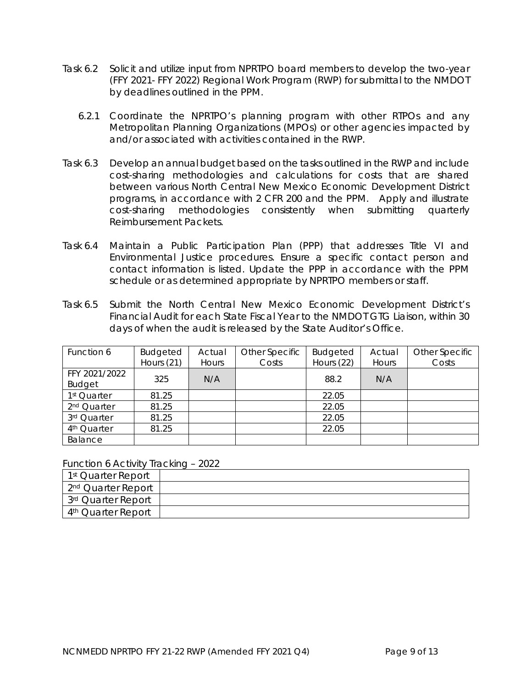- Task 6.2 Solicit and utilize input from NPRTPO board members to develop the two-year (FFY 2021- FFY 2022) Regional Work Program (RWP) for submittal to the NMDOT by deadlines outlined in the PPM.
	- 6.2.1 Coordinate the NPRTPO's planning program with other RTPOs and any Metropolitan Planning Organizations (MPOs) or other agencies impacted by and/or associated with activities contained in the RWP.
- Task 6.3 Develop an annual budget based on the tasks outlined in the RWP and include cost-sharing methodologies and calculations for costs that are shared between various North Central New Mexico Economic Development District programs, in accordance with 2 CFR 200 and the PPM. Apply and illustrate cost-sharing methodologies consistently when submitting quarterly Reimbursement Packets.
- Task 6.4 Maintain a Public Participation Plan (PPP) that addresses Title VI and Environmental Justice procedures. Ensure a specific contact person and contact information is listed. Update the PPP in accordance with the PPM schedule or as determined appropriate by NPRTPO members or staff.
- Task 6.5 Submit the North Central New Mexico Economic Development District's Financial Audit for each State Fiscal Year to the NMDOT GTG Liaison, within 30 days of when the audit is released by the State Auditor's Office.

| Function 6              | <b>Budgeted</b> | Actual | Other Specific | <b>Budgeted</b> | Actual | Other Specific |
|-------------------------|-----------------|--------|----------------|-----------------|--------|----------------|
|                         | Hours $(21)$    | Hours  | Costs          | Hours (22)      | Hours  | Costs          |
| FFY 2021/2022           |                 |        |                |                 |        |                |
| <b>Budget</b>           | 325             | N/A    |                | 88.2            | N/A    |                |
| 1 <sup>st</sup> Quarter | 81.25           |        |                | 22.05           |        |                |
| 2 <sup>nd</sup> Quarter | 81.25           |        |                | 22.05           |        |                |
| 3rd Quarter             | 81.25           |        |                | 22.05           |        |                |
| 4 <sup>th</sup> Quarter | 81.25           |        |                | 22.05           |        |                |
| Balance                 |                 |        |                |                 |        |                |

Function 6 Activity Tracking – 2022

| 1 <sup>st</sup> Quarter Report |  |
|--------------------------------|--|
| 2 <sup>nd</sup> Quarter Report |  |
| 3rd Quarter Report             |  |
| 4 <sup>th</sup> Quarter Report |  |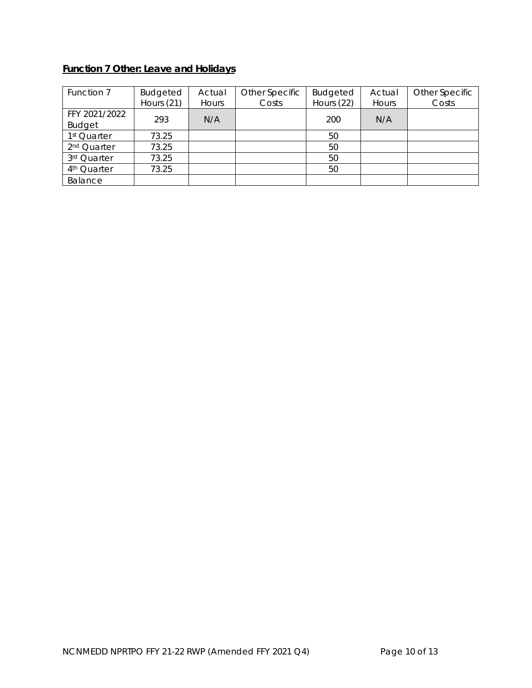# **Function 7 Other: Leave and Holidays**

| Function 7              | <b>Budgeted</b> | Actual | Other Specific | <b>Budgeted</b> | Actual | Other Specific |
|-------------------------|-----------------|--------|----------------|-----------------|--------|----------------|
|                         | Hours $(21)$    | Hours  | Costs          | Hours (22)      | Hours  | Costs          |
| FFY 2021/2022           | 293             | N/A    |                | 200             | N/A    |                |
| <b>Budget</b>           |                 |        |                |                 |        |                |
| 1 <sup>st</sup> Quarter | 73.25           |        |                | 50              |        |                |
| 2 <sup>nd</sup> Quarter | 73.25           |        |                | 50              |        |                |
| 3rd Quarter             | 73.25           |        |                | 50              |        |                |
| 4 <sup>th</sup> Quarter | 73.25           |        |                | 50              |        |                |
| Balance                 |                 |        |                |                 |        |                |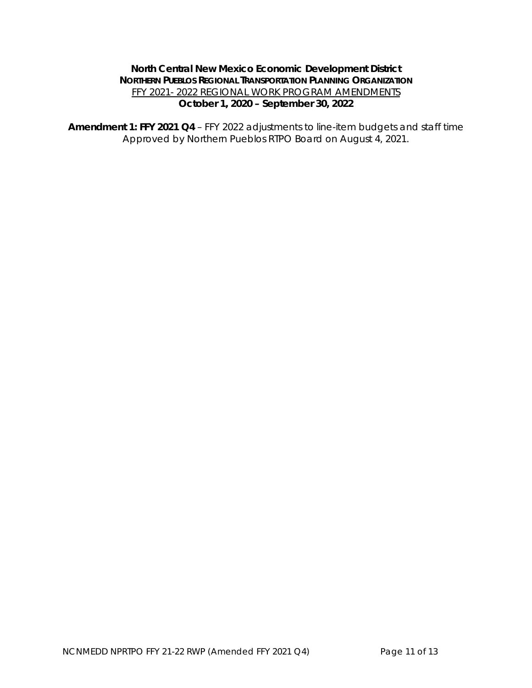# **North Central New Mexico Economic Development District NORTHERN PUEBLOS REGIONAL TRANSPORTATION PLANNING ORGANIZATION** FFY 2021- 2022 REGIONAL WORK PROGRAM AMENDMENTS **October 1, 2020 – September 30, 2022**

**Amendment 1: FFY 2021 Q4** – FFY 2022 adjustments to line-item budgets and staff time Approved by Northern Pueblos RTPO Board on August 4, 2021.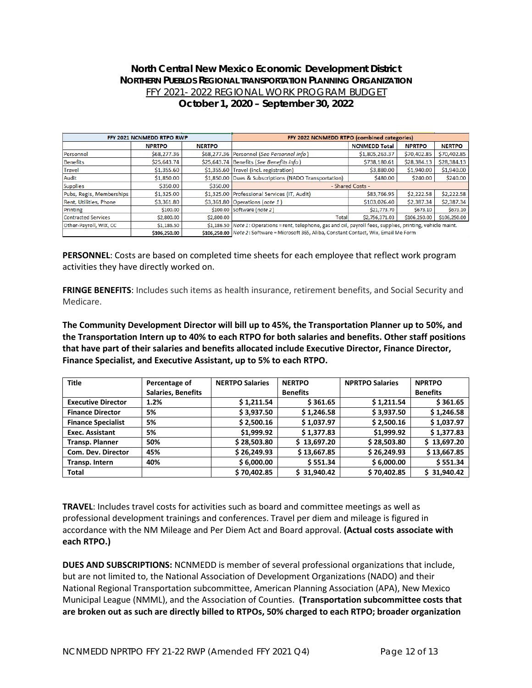# **North Central New Mexico Economic Development District NORTHERN PUEBLOS REGIONAL TRANSPORTATION PLANNING ORGANIZATION** FFY 2021- 2022 REGIONAL WORK PROGRAM BUDGET **October 1, 2020 – September 30, 2022**

| FFY 2021 NCNMEDD RTPO RWP  |               |               | FFY 2022 NCNMEDD RTPO (combined categories)                                                                    |                      |               |               |  |
|----------------------------|---------------|---------------|----------------------------------------------------------------------------------------------------------------|----------------------|---------------|---------------|--|
|                            | <b>NPRTPO</b> | <b>NERTPO</b> |                                                                                                                | <b>NCNMEDD Total</b> | <b>NPRTPO</b> | <b>NERTPO</b> |  |
| Personnel                  | \$68,277.36   |               | \$68,277.36 Personnel (See Personnel info)                                                                     | \$1,805,263.37       | \$70,402.85   | \$70,402.85   |  |
| <b>Benefits</b>            | \$25,643,74   |               | \$25,643.74 Benefits (See Benefits info)                                                                       | \$738,180.61         | \$28,384.13   | \$28,384.13   |  |
| <b>Travel</b>              | \$1,355.60    |               | \$1,355.60 Travel (incl. registration)                                                                         | \$3,880.00           | \$1,940.00    | \$1,940.00    |  |
| Audit                      | \$1,850.00    |               | \$1,850.00 Dues & Subscriptions (NADO Transportation)                                                          | \$480.00             | \$240.00      | \$240.00      |  |
| <b>Supplies</b>            | \$350.00      | \$350.00      | - Shared Costs -                                                                                               |                      |               |               |  |
| Pubs, Regis, Memberships   | \$1,325.00    |               | \$1,325.00 Professional Services (IT, Audit)                                                                   | \$83,766.95          | \$2,222.58    | \$2,222.58    |  |
| Rent, Utilities, Phone     | \$3,361.80    |               | \$3,361.80 Operations (note 1)                                                                                 | \$103,026.40         | \$2,387.34    | \$2,387.34    |  |
| Printing                   | \$100.00      |               | \$100.00 Software (note 2)                                                                                     | \$21,773.70          | \$673.10      | \$673.10      |  |
| <b>Contracted Services</b> | \$2,800.00    | \$2,800.00    | <b>Total</b>                                                                                                   | \$2,756,371.03       | \$106,250.00  | \$106,250.00  |  |
| Other-Payroll, WIX, CC     | \$1,186.50    |               | \$1,186.50 Note 1: Operations = rent, telephone, gas and oil, payroll fees, supplies, printing, vehicle maint. |                      |               |               |  |
|                            | \$106,250.00  |               | \$106.250.00 Note 2: Software = Microsoft 365, Aliba, Constant Contact, Wix, Email Me Form                     |                      |               |               |  |

**PERSONNEL**: Costs are based on completed time sheets for each employee that reflect work program activities they have directly worked on.

**FRINGE BENEFITS**: Includes such items as health insurance, retirement benefits, and Social Security and Medicare.

**The Community Development Director will bill up to 45%, the Transportation Planner up to 50%, and the Transportation Intern up to 40% to each RTPO for both salaries and benefits. Other staff positions that have part of their salaries and benefits allocated include Executive Director, Finance Director, Finance Specialist, and Executive Assistant, up to 5% to each RTPO.** 

| <b>Title</b>              | Percentage of             | <b>NERTPO Salaries</b> | <b>NERTPO</b>   | <b>NPRTPO Salaries</b> | <b>NPRTPO</b>   |
|---------------------------|---------------------------|------------------------|-----------------|------------------------|-----------------|
|                           | <b>Salaries, Benefits</b> |                        | <b>Benefits</b> |                        | <b>Benefits</b> |
| <b>Executive Director</b> | 1.2%                      | \$1,211.54             | \$361.65        | \$1,211.54             | \$361.65        |
| <b>Finance Director</b>   | 5%                        | \$3,937.50             | \$1,246.58      | \$3,937.50             | \$1,246.58      |
| <b>Finance Specialist</b> | 5%                        | \$2,500.16             | \$1,037.97      | \$2,500.16             | \$1,037.97      |
| <b>Exec. Assistant</b>    | 5%                        | \$1,999.92             | \$1,377.83      | \$1,999.92             | \$1,377.83      |
| <b>Transp. Planner</b>    | 50%                       | \$28,503.80            | \$13,697.20     | \$28,503.80            | \$13,697.20     |
| Com. Dev. Director        | 45%                       | \$26,249.93            | \$13,667.85     | \$26,249.93            | \$13,667.85     |
| Transp. Intern            | 40%                       | \$6,000.00             | \$551.34        | \$6,000.00             | \$551.34        |
| <b>Total</b>              |                           | \$70,402.85            | \$31,940.42     | \$70,402.85            | \$31,940.42     |

**TRAVEL**: Includes travel costs for activities such as board and committee meetings as well as professional development trainings and conferences. Travel per diem and mileage is figured in accordance with the NM Mileage and Per Diem Act and Board approval. **(Actual costs associate with each RTPO.)**

**DUES AND SUBSCRIPTIONS:** NCNMEDD is member of several professional organizations that include, but are not limited to, the National Association of Development Organizations (NADO) and their National Regional Transportation subcommittee, American Planning Association (APA), New Mexico Municipal League (NMML), and the Association of Counties. **(Transportation subcommittee costs that are broken out as such are directly billed to RTPOs, 50% charged to each RTPO; broader organization**